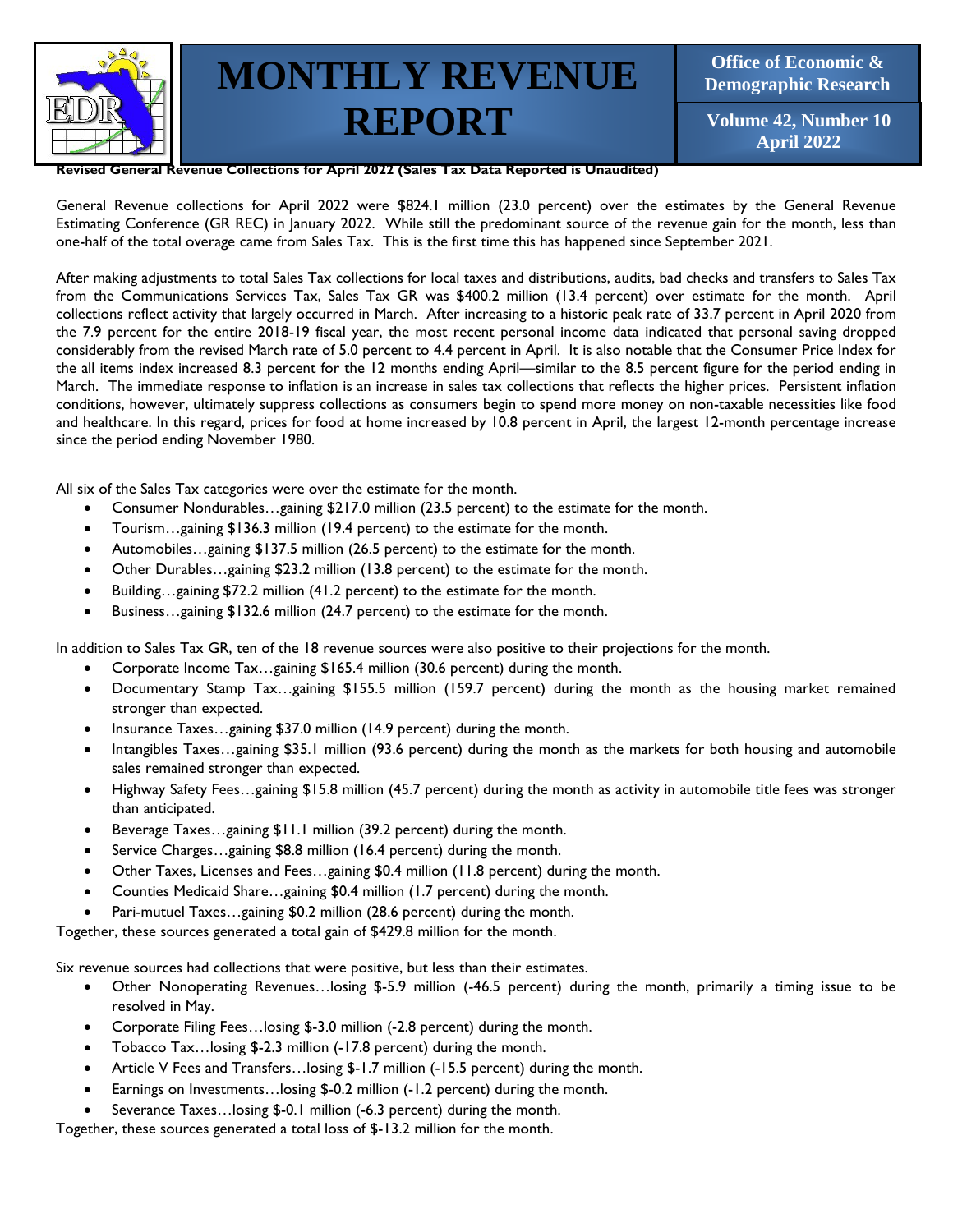

**Office of Economic & Demographic Research**

**Volume 42, Number 10 April 2022**

**Revised General Revenue Collections for April 2022 (Sales Tax Data Reported is Unaudited)**

General Revenue collections for April 2022 were \$824.1 million (23.0 percent) over the estimates by the General Revenue Estimating Conference (GR REC) in January 2022. While still the predominant source of the revenue gain for the month, less than one-half of the total overage came from Sales Tax. This is the first time this has happened since September 2021.

After making adjustments to total Sales Tax collections for local taxes and distributions, audits, bad checks and transfers to Sales Tax from the Communications Services Tax, Sales Tax GR was \$400.2 million (13.4 percent) over estimate for the month. April collections reflect activity that largely occurred in March. After increasing to a historic peak rate of 33.7 percent in April 2020 from the 7.9 percent for the entire 2018-19 fiscal year, the most recent personal income data indicated that personal saving dropped considerably from the revised March rate of 5.0 percent to 4.4 percent in April. It is also notable that the Consumer Price Index for the all items index increased 8.3 percent for the 12 months ending April—similar to the 8.5 percent figure for the period ending in March. The immediate response to inflation is an increase in sales tax collections that reflects the higher prices. Persistent inflation conditions, however, ultimately suppress collections as consumers begin to spend more money on non-taxable necessities like food and healthcare. In this regard, prices for food at home increased by 10.8 percent in April, the largest 12-month percentage increase since the period ending November 1980.

All six of the Sales Tax categories were over the estimate for the month.

- Consumer Nondurables…gaining \$217.0 million (23.5 percent) to the estimate for the month.
- Tourism…gaining \$136.3 million (19.4 percent) to the estimate for the month.
- Automobiles…gaining \$137.5 million (26.5 percent) to the estimate for the month.
- Other Durables…gaining \$23.2 million (13.8 percent) to the estimate for the month.
- Building... gaining \$72.2 million (41.2 percent) to the estimate for the month.
- Business... gaining \$132.6 million (24.7 percent) to the estimate for the month.

In addition to Sales Tax GR, ten of the 18 revenue sources were also positive to their projections for the month.

- Corporate Income Tax…gaining \$165.4 million (30.6 percent) during the month.
- Documentary Stamp Tax…gaining \$155.5 million (159.7 percent) during the month as the housing market remained stronger than expected.
- Insurance Taxes... gaining \$37.0 million (14.9 percent) during the month.
- Intangibles Taxes…gaining \$35.1 million (93.6 percent) during the month as the markets for both housing and automobile sales remained stronger than expected.
- Highway Safety Fees…gaining \$15.8 million (45.7 percent) during the month as activity in automobile title fees was stronger than anticipated.
- Beverage Taxes... gaining \$11.1 million (39.2 percent) during the month.
- Service Charges... gaining \$8.8 million (16.4 percent) during the month.
- Other Taxes, Licenses and Fees…gaining \$0.4 million (11.8 percent) during the month.
- Counties Medicaid Share…gaining \$0.4 million (1.7 percent) during the month.
- Pari-mutuel Taxes...gaining \$0.2 million (28.6 percent) during the month.

Together, these sources generated a total gain of \$429.8 million for the month.

Six revenue sources had collections that were positive, but less than their estimates.

- Other Nonoperating Revenues…losing \$-5.9 million (-46.5 percent) during the month, primarily a timing issue to be resolved in May.
- Corporate Filing Fees…losing \$-3.0 million (-2.8 percent) during the month.
- Tobacco Tax…losing \$-2.3 million (-17.8 percent) during the month.
- Article V Fees and Transfers... losing \$-1.7 million (-15.5 percent) during the month.
- Earnings on Investments…losing \$-0.2 million (-1.2 percent) during the month.
- Severance Taxes... losing \$-0.1 million (-6.3 percent) during the month.

Together, these sources generated a total loss of \$-13.2 million for the month.